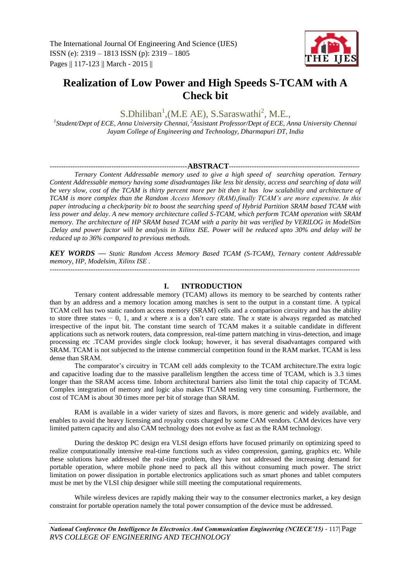

# **Realization of Low Power and High Speeds S-TCAM with A Check bit**

 $S.Dhiliban<sup>1</sup>, (M.E AE), S.Saraswathi<sup>2</sup>, M.E.,$ 

*1 Student/Dept of ECE, Anna University Chennai, <sup>2</sup>Assistant Professor/Dept of ECE, Anna University Chennai Jayam College of Engineering and Technology, Dharmapuri DT, India*

#### ------------------------------------------------------------**ABSTRACT**---------------------------------------------------------

*Ternary Content Addressable memory used to give a high speed of searching operation. Ternary Content Addressable memory having some disadvantages like less bit density, access and searching of data will be very slow, cost of the TCAM is thirty percent more per bit then it has low scalability and architecture of TCAM is more complex than the Random Access Memory (RAM),finally TCAM's are more expensive. In this paper introducing a check/parity bit to boost the searching speed of Hybrid Partition SRAM based TCAM with less power and delay. A new memory architecture called S-TCAM, which perform TCAM operation with SRAM memory. The architecture of HP SRAM based TCAM with a parity bit was verified by VERILOG in ModelSim .Delay and power factor will be analysis in Xilinx ISE. Power will be reduced upto 30% and delay will be reduced up to 36% compared to previous methods.*

*KEY WORDS — Static Random Access Memory Based TCAM (S-TCAM), Ternary content Addressable memory, HP, Modelsim, Xilinx ISE .* ---------------------------------------------------------------------------------------------------------------------------------------

## **I. INTRODUCTION**

Ternary content addressable memory (TCAM) allows its memory to be searched by contents rather than by an address and a memory location among matches is sent to the output in a constant time. A typical TCAM cell has two static random access memory (SRAM) cells and a comparison circuitry and has the ability to store three states − 0, 1, and *x* where *x* is a don't care state. The *x* state is always regarded as matched irrespective of the input bit. The constant time search of TCAM makes it a suitable candidate in different applications such as network routers, data compression, real-time pattern matching in virus-detection, and image processing etc .TCAM provides single clock lookup; however, it has several disadvantages compared with SRAM. TCAM is not subjected to the intense commercial competition found in the RAM market. TCAM is less dense than SRAM.

The comparator's circuitry in TCAM cell adds complexity to the TCAM architecture.The extra logic and capacitive loading due to the massive parallelism lengthen the access time of TCAM, which is 3*.*3 times longer than the SRAM access time. Inborn architectural barriers also limit the total chip capacity of TCAM. Complex integration of memory and logic also makes TCAM testing very time consuming. Furthermore, the cost of TCAM is about 30 times more per bit of storage than SRAM.

RAM is available in a wider variety of sizes and flavors, is more generic and widely available, and enables to avoid the heavy licensing and royalty costs charged by some CAM vendors. CAM devices have very limited pattern capacity and also CAM technology does not evolve as fast as the RAM technology.

During the desktop PC design era VLSI design efforts have focused primarily on optimizing speed to realize computationally intensive real-time functions such as video compression, gaming, graphics etc. While these solutions have addressed the real-time problem, they have not addressed the increasing demand for portable operation, where mobile phone need to pack all this without consuming much power. The strict limitation on power dissipation in portable electronics applications such as smart phones and tablet computers must be met by the VLSI chip designer while still meeting the computational requirements.

While wireless devices are rapidly making their way to the consumer electronics market, a key design constraint for portable operation namely the total power consumption of the device must be addressed.

*National Conference On Intelligence In Electronics And Communication Engineering (NCIECE'15) -* 117| Page *RVS COLLEGE OF ENGINEERING AND TECHNOLOGY*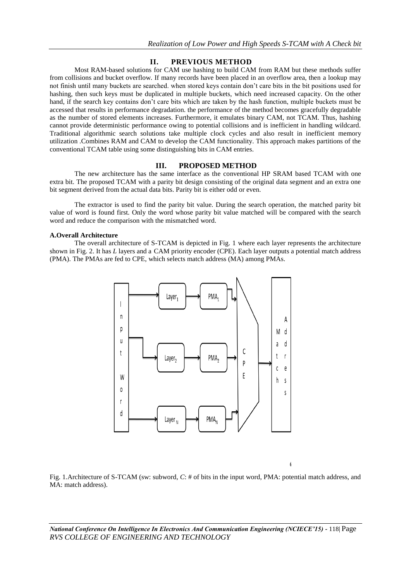## **II. PREVIOUS METHOD**

Most RAM-based solutions for CAM use hashing to build CAM from RAM but these methods suffer from collisions and bucket overflow. If many records have been placed in an overflow area, then a lookup may not finish until many buckets are searched. when stored keys contain don't care bits in the bit positions used for hashing, then such keys must be duplicated in multiple buckets, which need increased capacity. On the other hand, if the search key contains don't care bits which are taken by the hash function, multiple buckets must be accessed that results in performance degradation. the performance of the method becomes gracefully degradable as the number of stored elements increases. Furthermore, it emulates binary CAM, not TCAM. Thus, hashing cannot provide deterministic performance owing to potential collisions and is inefficient in handling wildcard. Traditional algorithmic search solutions take multiple clock cycles and also result in inefficient memory utilization .Combines RAM and CAM to develop the CAM functionality. This approach makes partitions of the conventional TCAM table using some distinguishing bits in CAM entries.

#### **III. PROPOSED METHOD**

The new architecture has the same interface as the conventional HP SRAM based TCAM with one extra bit. The proposed TCAM with a parity bit design consisting of the original data segment and an extra one bit segment derived from the actual data bits. Parity bit is either odd or even.

The extractor is used to find the parity bit value. During the search operation, the matched parity bit value of word is found first. Only the word whose parity bit value matched will be compared with the search word and reduce the comparison with the mismatched word.

#### **A.Overall Architecture**

The overall architecture of S-TCAM is depicted in Fig. 1 where each layer represents the architecture shown in Fig. 2. It has *L* layers and a CAM priority encoder (CPE). Each layer outputs a potential match address (PMA). The PMAs are fed to CPE, which selects match address (MA) among PMAs.



Fig. 1.Architecture of S-TCAM (sw: subword, C: # of bits in the input word, PMA: potential match address, and MA: match address).

 $\overline{6}$ 

*National Conference On Intelligence In Electronics And Communication Engineering (NCIECE'15) -* 118| Page *RVS COLLEGE OF ENGINEERING AND TECHNOLOGY*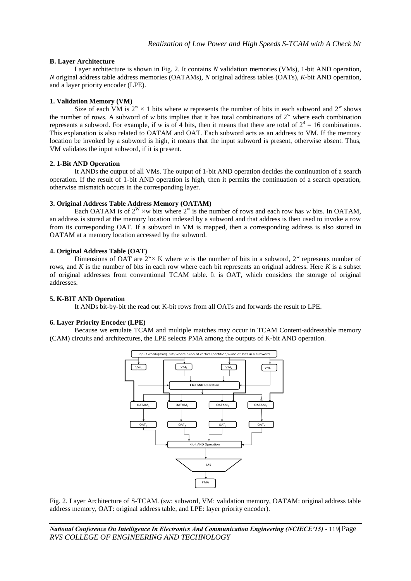## **B. Layer Architecture**

Layer architecture is shown in Fig. 2. It contains *N* validation memories (VMs), 1-bit AND operation, *N* original address table address memories (OATAMs), *N* original address tables (OATs), *K*-bit AND operation, and a layer priority encoder (LPE).

# **1. Validation Memory (VM)**

Size of each VM is  $2^w \times 1$  bits where *w* represents the number of bits in each subword and  $2^w$  shows the number of rows. A subword of *w* bits implies that it has total combinations of  $2^w$  where each combination represents a subword. For example, if *w* is of 4 bits, then it means that there are total of  $2^4 = 16$  combinations. This explanation is also related to OATAM and OAT. Each subword acts as an address to VM. If the memory location be invoked by a subword is high, it means that the input subword is present, otherwise absent. Thus, VM validates the input subword, if it is present.

#### **2. 1-Bit AND Operation**

It ANDs the output of all VMs. The output of 1-bit AND operation decides the continuation of a search operation. If the result of 1-bit AND operation is high, then it permits the continuation of a search operation, otherwise mismatch occurs in the corresponding layer.

## **3. Original Address Table Address Memory (OATAM)**

Each OATAM is of  $2^W \times w$  bits where  $2^W$  is the number of rows and each row has *w* bits. In OATAM, an address is stored at the memory location indexed by a subword and that address is then used to invoke a row from its corresponding OAT. If a subword in VM is mapped, then a corresponding address is also stored in OATAM at a memory location accessed by the subword.

## **4. Original Address Table (OAT)**

Dimensions of OAT are  $2^w \times K$  where *w* is the number of bits in a subword,  $2^w$  represents number of rows, and *K* is the number of bits in each row where each bit represents an original address. Here *K* is a subset of original addresses from conventional TCAM table. It is OAT, which considers the storage of original addresses.

# **5. K-BIT AND Operation**

It ANDs bit-by-bit the read out K-bit rows from all OATs and forwards the result to LPE.

#### **6. Layer Priority Encoder (LPE)**

Because we emulate TCAM and multiple matches may occur in TCAM Content-addressable memory (CAM) circuits and architectures, the LPE selects PMA among the outputs of K-bit AND operation.



Fig. 2. Layer Architecture of S-TCAM. (sw: subword, VM: validation memory, OATAM: original address table address memory, OAT: original address table, and LPE: layer priority encoder).

*National Conference On Intelligence In Electronics And Communication Engineering (NCIECE'15) -* 119| Page *RVS COLLEGE OF ENGINEERING AND TECHNOLOGY*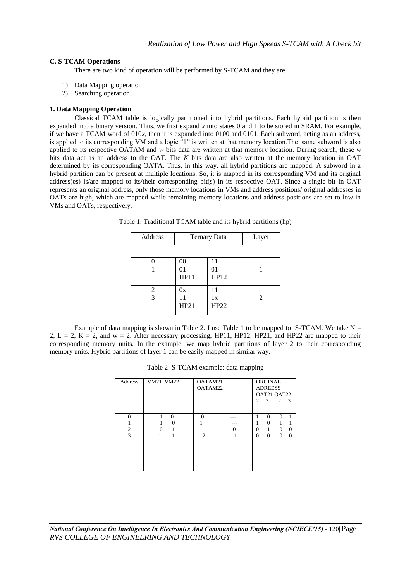# **C. S-TCAM Operations**

There are two kind of operation will be performed by S-TCAM and they are

- 1) Data Mapping operation
- 2) Searching operation.

# **1. Data Mapping Operation**

Classical TCAM table is logically partitioned into hybrid partitions. Each hybrid partition is then expanded into a binary version. Thus, we first expand *x* into states 0 and 1 to be stored in SRAM. For example, if we have a TCAM word of 010*x*, then it is expanded into 0100 and 0101. Each subword, acting as an address, is applied to its corresponding VM and a logic "1" is written at that memory location.The same subword is also applied to its respective OATAM and *w* bits data are written at that memory location. During search, these *w*  bits data act as an address to the OAT. The *K* bits data are also written at the memory location in OAT determined by its corresponding OATA. Thus, in this way, all hybrid partitions are mapped. A subword in a hybrid partition can be present at multiple locations. So, it is mapped in its corresponding VM and its original address(es) is/are mapped to its/their corresponding bit(s) in its respective OAT. Since a single bit in OAT represents an original address, only those memory locations in VMs and address positions/ original addresses in OATs are high, which are mapped while remaining memory locations and address positions are set to low in VMs and OATs, respectively.

| Address | <b>Ternary Data</b> | Layer            |   |
|---------|---------------------|------------------|---|
|         |                     |                  |   |
|         | 00<br>01<br>HP11    | 11<br>01<br>HP12 |   |
| 2<br>3  | 0x<br>11<br>HP21    | 11<br>1x<br>HP22 | 2 |

Table 1: Traditional TCAM table and its hybrid partitions (hp)

Example of data mapping is shown in Table 2. I use Table 1 to be mapped to S-TCAM. We take  $N =$ 2, L = 2, K = 2, and w = 2. After necessary processing, HP11, HP12, HP21, and HP22 are mapped to their corresponding memory units. In the example, we map hybrid partitions of layer 2 to their corresponding memory units. Hybrid partitions of layer 1 can be easily mapped in similar way.

| Address                         | VM21 VM22     | OATAM21<br>OATAM22 | $\mathcal{D}_{\mathcal{L}}$ | ORGINAL<br><b>ADREESS</b><br>OAT21 OAT22<br>3 | $\overline{c}$            | - 3                  |
|---------------------------------|---------------|--------------------|-----------------------------|-----------------------------------------------|---------------------------|----------------------|
| $\Omega$<br>$\overline{2}$<br>3 | $\Omega$<br>0 | $\Omega$<br>2      | $\theta$<br>$\theta$        | $\Omega$<br>$\Omega$<br>1<br>$\Omega$         | $\theta$<br>$\Omega$<br>0 | $\theta$<br>$\Omega$ |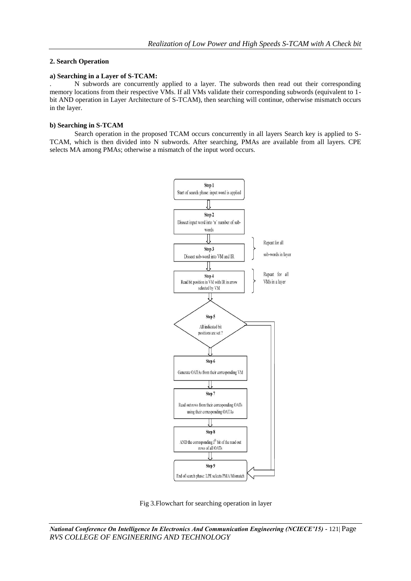## **2. Search Operation**

#### **a) Searching in a Layer of S-TCAM:**

. N subwords are concurrently applied to a layer. The subwords then read out their corresponding memory locations from their respective VMs. If all VMs validate their corresponding subwords (equivalent to 1 bit AND operation in Layer Architecture of S-TCAM), then searching will continue, otherwise mismatch occurs in the layer.

#### **b) Searching in S-TCAM**

Search operation in the proposed TCAM occurs concurrently in all layers Search key is applied to S-TCAM, which is then divided into N subwords. After searching, PMAs are available from all layers. CPE selects MA among PMAs; otherwise a mismatch of the input word occurs.



Fig 3.Flowchart for searching operation in layer

*National Conference On Intelligence In Electronics And Communication Engineering (NCIECE'15) -* 121| Page *RVS COLLEGE OF ENGINEERING AND TECHNOLOGY*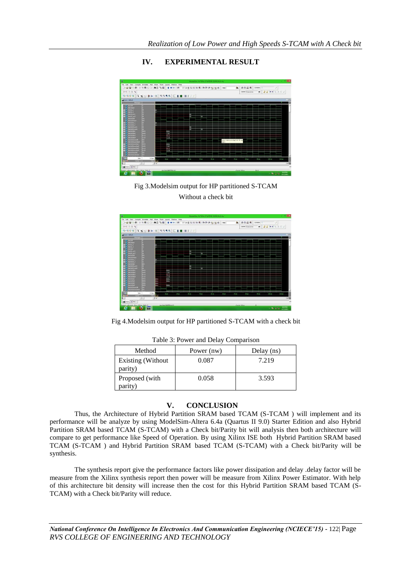# **IV. EXPERIMENTAL RESULT**



Fig 3.Modelsim output for HP partitioned S-TCAM Without a check bit



Fig 4.Modelsim output for HP partitioned S-TCAM with a check bit

| Method                              | Power (nw) | Delay (ns) |  |  |  |  |
|-------------------------------------|------------|------------|--|--|--|--|
| <b>Existing (Without</b><br>parity) | 0.087      | 7.219      |  |  |  |  |
| Proposed (with<br>parity)           | 0.058      | 3.593      |  |  |  |  |

|  | Table 3: Power and Delay Comparison |  |  |
|--|-------------------------------------|--|--|
|  |                                     |  |  |

#### **V. CONCLUSION**

Thus, the Architecture of Hybrid Partition SRAM based TCAM (S-TCAM ) will implement and its performance will be analyze by using ModelSim-Altera 6.4a (Quartus II 9.0) Starter Edition and also Hybrid Partition SRAM based TCAM (S-TCAM) with a Check bit/Parity bit will analysis then both architecture will compare to get performance like Speed of Operation. By using Xilinx ISE both Hybrid Partition SRAM based TCAM (S-TCAM ) and Hybrid Partition SRAM based TCAM (S-TCAM) with a Check bit/Parity will be synthesis.

The synthesis report give the performance factors like power dissipation and delay .delay factor will be measure from the Xilinx synthesis report then power will be measure from Xilinx Power Estimator. With help of this architecture bit density will increase then the cost for this Hybrid Partition SRAM based TCAM (S-TCAM) with a Check bit/Parity will reduce.

*National Conference On Intelligence In Electronics And Communication Engineering (NCIECE'15) -* 122| Page *RVS COLLEGE OF ENGINEERING AND TECHNOLOGY*